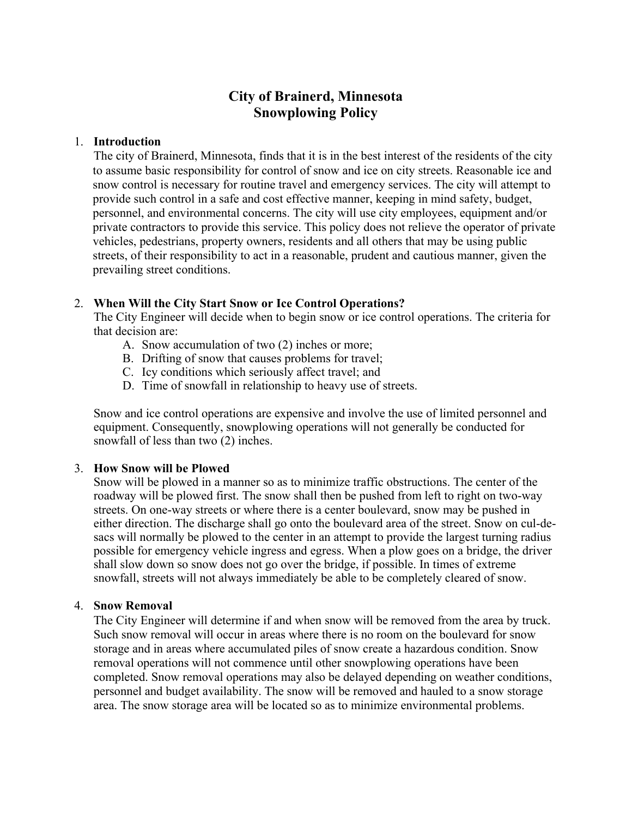# **City of Brainerd, Minnesota Snowplowing Policy**

## 1. **Introduction**

The city of Brainerd, Minnesota, finds that it is in the best interest of the residents of the city to assume basic responsibility for control of snow and ice on city streets. Reasonable ice and snow control is necessary for routine travel and emergency services. The city will attempt to provide such control in a safe and cost effective manner, keeping in mind safety, budget, personnel, and environmental concerns. The city will use city employees, equipment and/or private contractors to provide this service. This policy does not relieve the operator of private vehicles, pedestrians, property owners, residents and all others that may be using public streets, of their responsibility to act in a reasonable, prudent and cautious manner, given the prevailing street conditions.

## 2. **When Will the City Start Snow or Ice Control Operations?**

The City Engineer will decide when to begin snow or ice control operations. The criteria for that decision are:

- A. Snow accumulation of two (2) inches or more;
- B. Drifting of snow that causes problems for travel;
- C. Icy conditions which seriously affect travel; and
- D. Time of snowfall in relationship to heavy use of streets.

Snow and ice control operations are expensive and involve the use of limited personnel and equipment. Consequently, snowplowing operations will not generally be conducted for snowfall of less than two (2) inches.

## 3. **How Snow will be Plowed**

Snow will be plowed in a manner so as to minimize traffic obstructions. The center of the roadway will be plowed first. The snow shall then be pushed from left to right on two-way streets. On one-way streets or where there is a center boulevard, snow may be pushed in either direction. The discharge shall go onto the boulevard area of the street. Snow on cul-desacs will normally be plowed to the center in an attempt to provide the largest turning radius possible for emergency vehicle ingress and egress. When a plow goes on a bridge, the driver shall slow down so snow does not go over the bridge, if possible. In times of extreme snowfall, streets will not always immediately be able to be completely cleared of snow.

## 4. **Snow Removal**

The City Engineer will determine if and when snow will be removed from the area by truck. Such snow removal will occur in areas where there is no room on the boulevard for snow storage and in areas where accumulated piles of snow create a hazardous condition. Snow removal operations will not commence until other snowplowing operations have been completed. Snow removal operations may also be delayed depending on weather conditions, personnel and budget availability. The snow will be removed and hauled to a snow storage area. The snow storage area will be located so as to minimize environmental problems.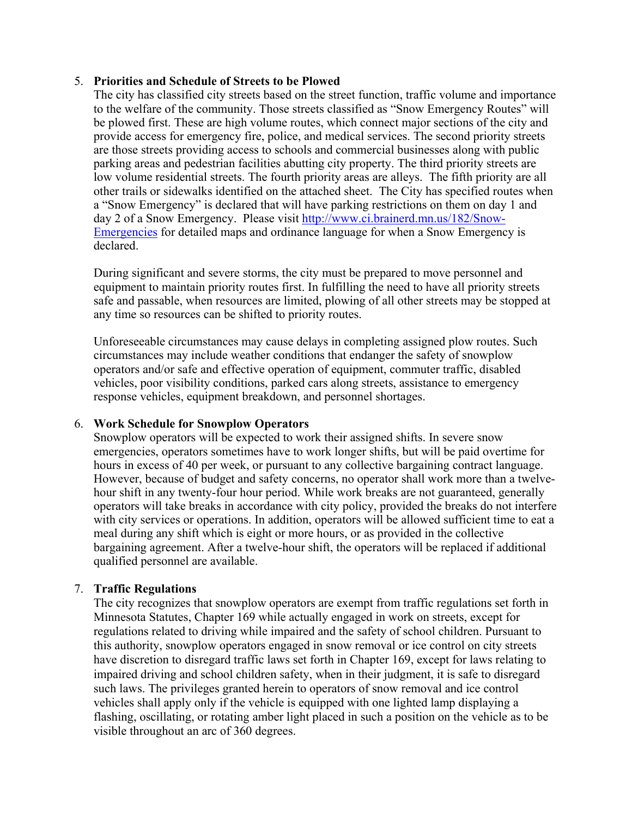## 5. **Priorities and Schedule of Streets to be Plowed**

The city has classified city streets based on the street function, traffic volume and importance to the welfare of the community. Those streets classified as "Snow Emergency Routes" will be plowed first. These are high volume routes, which connect major sections of the city and provide access for emergency fire, police, and medical services. The second priority streets are those streets providing access to schools and commercial businesses along with public parking areas and pedestrian facilities abutting city property. The third priority streets are low volume residential streets. The fourth priority areas are alleys. The fifth priority are all other trails or sidewalks identified on the attached sheet. The City has specified routes when a "Snow Emergency" is declared that will have parking restrictions on them on day 1 and day 2 of a Snow Emergency. Please visit http://www.ci.brainerd.mn.us/182/Snow-Emergencies for detailed maps and ordinance language for when a Snow Emergency is declared.

During significant and severe storms, the city must be prepared to move personnel and equipment to maintain priority routes first. In fulfilling the need to have all priority streets safe and passable, when resources are limited, plowing of all other streets may be stopped at any time so resources can be shifted to priority routes.

Unforeseeable circumstances may cause delays in completing assigned plow routes. Such circumstances may include weather conditions that endanger the safety of snowplow operators and/or safe and effective operation of equipment, commuter traffic, disabled vehicles, poor visibility conditions, parked cars along streets, assistance to emergency response vehicles, equipment breakdown, and personnel shortages.

## 6. **Work Schedule for Snowplow Operators**

Snowplow operators will be expected to work their assigned shifts. In severe snow emergencies, operators sometimes have to work longer shifts, but will be paid overtime for hours in excess of 40 per week, or pursuant to any collective bargaining contract language. However, because of budget and safety concerns, no operator shall work more than a twelvehour shift in any twenty-four hour period. While work breaks are not guaranteed, generally operators will take breaks in accordance with city policy, provided the breaks do not interfere with city services or operations. In addition, operators will be allowed sufficient time to eat a meal during any shift which is eight or more hours, or as provided in the collective bargaining agreement. After a twelve-hour shift, the operators will be replaced if additional qualified personnel are available.

## 7. **Traffic Regulations**

 The city recognizes that snowplow operators are exempt from traffic regulations set forth in Minnesota Statutes, Chapter 169 while actually engaged in work on streets, except for regulations related to driving while impaired and the safety of school children. Pursuant to this authority, snowplow operators engaged in snow removal or ice control on city streets have discretion to disregard traffic laws set forth in Chapter 169, except for laws relating to impaired driving and school children safety, when in their judgment, it is safe to disregard such laws. The privileges granted herein to operators of snow removal and ice control vehicles shall apply only if the vehicle is equipped with one lighted lamp displaying a flashing, oscillating, or rotating amber light placed in such a position on the vehicle as to be visible throughout an arc of 360 degrees.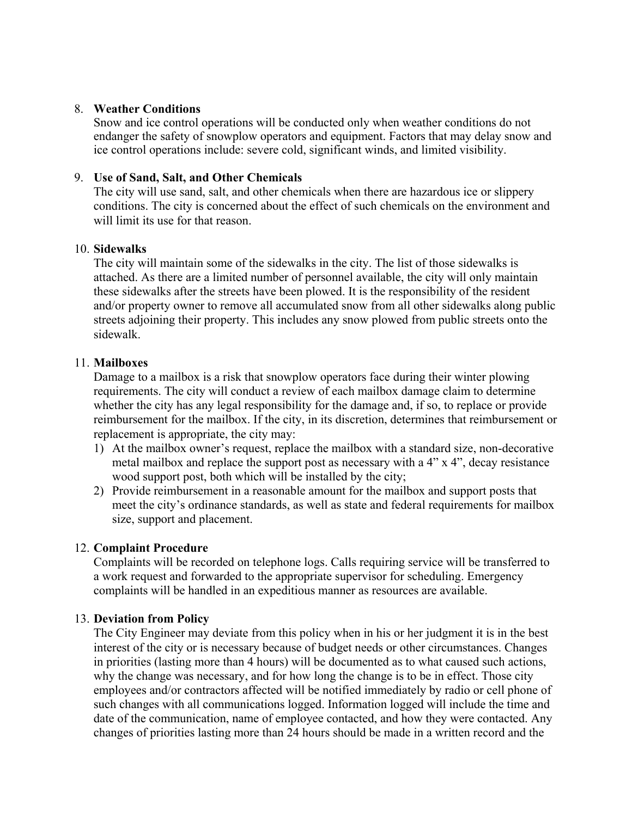## 8. **Weather Conditions**

Snow and ice control operations will be conducted only when weather conditions do not endanger the safety of snowplow operators and equipment. Factors that may delay snow and ice control operations include: severe cold, significant winds, and limited visibility.

#### 9. **Use of Sand, Salt, and Other Chemicals**

The city will use sand, salt, and other chemicals when there are hazardous ice or slippery conditions. The city is concerned about the effect of such chemicals on the environment and will limit its use for that reason.

#### 10. **Sidewalks**

The city will maintain some of the sidewalks in the city. The list of those sidewalks is attached. As there are a limited number of personnel available, the city will only maintain these sidewalks after the streets have been plowed. It is the responsibility of the resident and/or property owner to remove all accumulated snow from all other sidewalks along public streets adjoining their property. This includes any snow plowed from public streets onto the sidewalk.

#### 11. **Mailboxes**

Damage to a mailbox is a risk that snowplow operators face during their winter plowing requirements. The city will conduct a review of each mailbox damage claim to determine whether the city has any legal responsibility for the damage and, if so, to replace or provide reimbursement for the mailbox. If the city, in its discretion, determines that reimbursement or replacement is appropriate, the city may:

- 1) At the mailbox owner's request, replace the mailbox with a standard size, non-decorative metal mailbox and replace the support post as necessary with a 4" x 4", decay resistance wood support post, both which will be installed by the city;
- 2) Provide reimbursement in a reasonable amount for the mailbox and support posts that meet the city's ordinance standards, as well as state and federal requirements for mailbox size, support and placement.

## 12. **Complaint Procedure**

Complaints will be recorded on telephone logs. Calls requiring service will be transferred to a work request and forwarded to the appropriate supervisor for scheduling. Emergency complaints will be handled in an expeditious manner as resources are available.

#### 13. **Deviation from Policy**

The City Engineer may deviate from this policy when in his or her judgment it is in the best interest of the city or is necessary because of budget needs or other circumstances. Changes in priorities (lasting more than 4 hours) will be documented as to what caused such actions, why the change was necessary, and for how long the change is to be in effect. Those city employees and/or contractors affected will be notified immediately by radio or cell phone of such changes with all communications logged. Information logged will include the time and date of the communication, name of employee contacted, and how they were contacted. Any changes of priorities lasting more than 24 hours should be made in a written record and the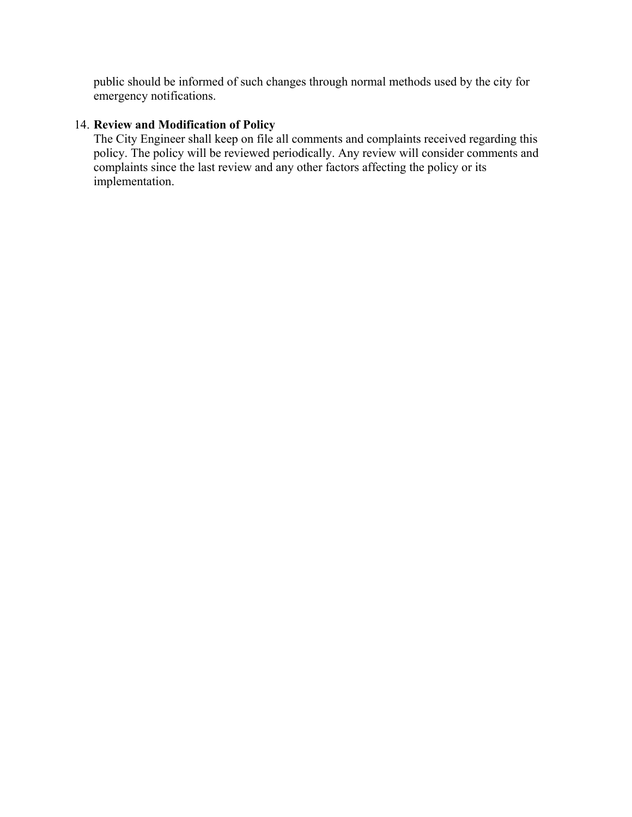public should be informed of such changes through normal methods used by the city for emergency notifications.

# 14. **Review and Modification of Policy**

The City Engineer shall keep on file all comments and complaints received regarding this policy. The policy will be reviewed periodically. Any review will consider comments and complaints since the last review and any other factors affecting the policy or its implementation.